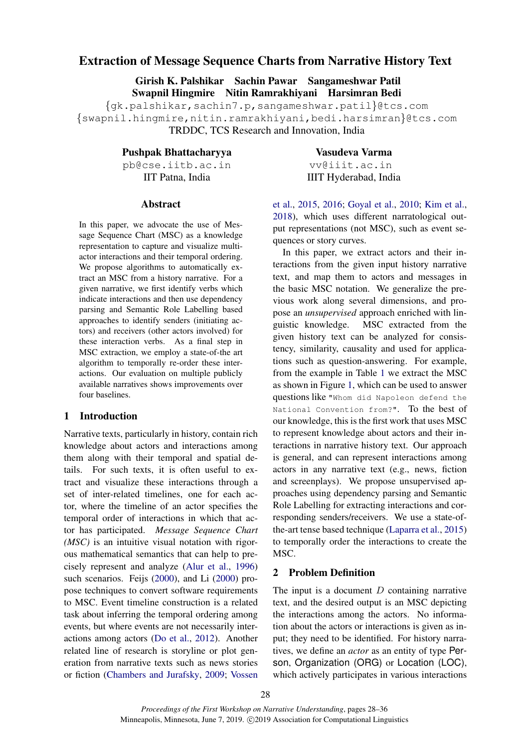# Extraction of Message Sequence Charts from Narrative History Text

Girish K. Palshikar Sachin Pawar Sangameshwar Patil Swapnil Hingmire Nitin Ramrakhiyani Harsimran Bedi

{gk.palshikar,sachin7.p,sangameshwar.patil}@tcs.com {swapnil.hingmire,nitin.ramrakhiyani,bedi.harsimran}@tcs.com TRDDC, TCS Research and Innovation, India

Pushpak Bhattacharyya

pb@cse.iitb.ac.in IIT Patna, India

### Abstract

In this paper, we advocate the use of Message Sequence Chart (MSC) as a knowledge representation to capture and visualize multiactor interactions and their temporal ordering. We propose algorithms to automatically extract an MSC from a history narrative. For a given narrative, we first identify verbs which indicate interactions and then use dependency parsing and Semantic Role Labelling based approaches to identify senders (initiating actors) and receivers (other actors involved) for these interaction verbs. As a final step in MSC extraction, we employ a state-of-the art algorithm to temporally re-order these interactions. Our evaluation on multiple publicly available narratives shows improvements over four baselines.

## 1 Introduction

Narrative texts, particularly in history, contain rich knowledge about actors and interactions among them along with their temporal and spatial details. For such texts, it is often useful to extract and visualize these interactions through a set of inter-related timelines, one for each actor, where the timeline of an actor specifies the temporal order of interactions in which that actor has participated. *Message Sequence Chart (MSC)* is an intuitive visual notation with rigorous mathematical semantics that can help to precisely represent and analyze [\(Alur et al.,](#page-8-0) [1996\)](#page-8-0) such scenarios. Feijs [\(2000\)](#page-8-1), and Li [\(2000\)](#page-8-2) propose techniques to convert software requirements to MSC. Event timeline construction is a related task about inferring the temporal ordering among events, but where events are not necessarily interactions among actors [\(Do et al.,](#page-8-3) [2012\)](#page-8-3). Another related line of research is storyline or plot generation from narrative texts such as news stories or fiction [\(Chambers and Jurafsky,](#page-8-4) [2009;](#page-8-4) [Vossen](#page-8-5)

Vasudeva Varma vv@iiit.ac.in IIIT Hyderabad, India

[et al.,](#page-8-5) [2015,](#page-8-5) [2016;](#page-8-6) [Goyal et al.,](#page-8-7) [2010;](#page-8-7) [Kim et al.,](#page-8-8) [2018\)](#page-8-8), which uses different narratological output representations (not MSC), such as event sequences or story curves.

In this paper, we extract actors and their interactions from the given input history narrative text, and map them to actors and messages in the basic MSC notation. We generalize the previous work along several dimensions, and propose an *unsupervised* approach enriched with linguistic knowledge. MSC extracted from the given history text can be analyzed for consistency, similarity, causality and used for applications such as question-answering. For example, from the example in Table [1](#page-1-0) we extract the MSC as shown in Figure [1,](#page-1-1) which can be used to answer questions like "Whom did Napoleon defend the National Convention from?". To the best of our knowledge, this is the first work that uses MSC to represent knowledge about actors and their interactions in narrative history text. Our approach is general, and can represent interactions among actors in any narrative text (e.g., news, fiction and screenplays). We propose unsupervised approaches using dependency parsing and Semantic Role Labelling for extracting interactions and corresponding senders/receivers. We use a state-ofthe-art tense based technique [\(Laparra et al.,](#page-8-9) [2015\)](#page-8-9) to temporally order the interactions to create the MSC.

## 2 Problem Definition

The input is a document  $D$  containing narrative text, and the desired output is an MSC depicting the interactions among the actors. No information about the actors or interactions is given as input; they need to be identified. For history narratives, we define an *actor* as an entity of type Person, Organization (ORG) or Location (LOC), which actively participates in various interactions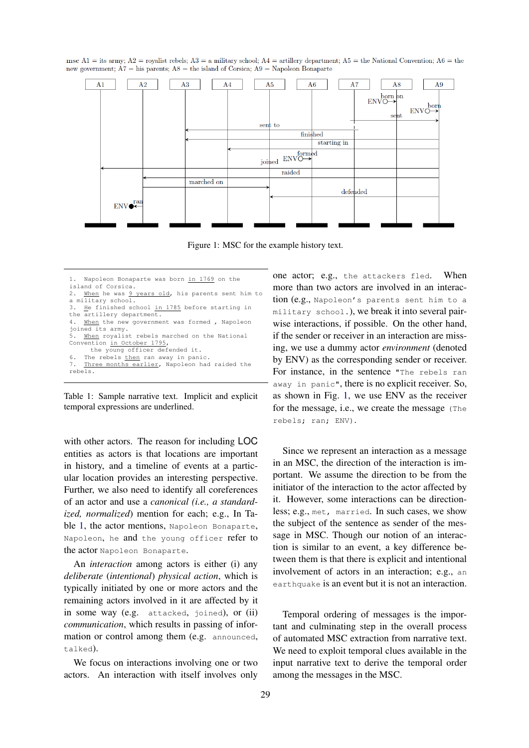<span id="page-1-1"></span>msc A1 = its army; A2 = royalist rebels; A3 = a military school; A4 = artillery department; A5 = the National Convention; A6 = the new government;  $A7 =$ his parents;  $A8 =$ the island of Corsica;  $A9 =$ Napoleon Bonaparte



Figure 1: MSC for the example history text.

Table 1: Sample narrative text. Implicit and explicit temporal expressions are underlined.

with other actors. The reason for including LOC entities as actors is that locations are important in history, and a timeline of events at a particular location provides an interesting perspective. Further, we also need to identify all coreferences of an actor and use a *canonical (i.e., a standardized, normalized*) mention for each; e.g., In Ta-ble [1,](#page-1-0) the actor mentions, Napoleon Bonaparte, Napoleon, he and the young officer refer to the actor Napoleon Bonaparte.

An *interaction* among actors is either (i) any *deliberate* (*intentional*) *physical action*, which is typically initiated by one or more actors and the remaining actors involved in it are affected by it in some way (e.g. attacked, joined), or (ii) *communication*, which results in passing of information or control among them (e.g. announced, talked).

We focus on interactions involving one or two actors. An interaction with itself involves only

one actor; e.g., the attackers fled. When more than two actors are involved in an interaction (e.g., Napoleon's parents sent him to a military school.), we break it into several pairwise interactions, if possible. On the other hand, if the sender or receiver in an interaction are missing, we use a dummy actor *environment* (denoted by ENV) as the corresponding sender or receiver. For instance, in the sentence "The rebels ran away in panic", there is no explicit receiver. So, as shown in Fig. [1,](#page-1-1) we use ENV as the receiver for the message, i.e., we create the message (The rebels; ran; ENV).

Since we represent an interaction as a message in an MSC, the direction of the interaction is important. We assume the direction to be from the initiator of the interaction to the actor affected by it. However, some interactions can be directionless; e.g., met, married. In such cases, we show the subject of the sentence as sender of the message in MSC. Though our notion of an interaction is similar to an event, a key difference between them is that there is explicit and intentional involvement of actors in an interaction; e.g., an earthquake is an event but it is not an interaction.

<span id="page-1-2"></span>Temporal ordering of messages is the important and culminating step in the overall process of automated MSC extraction from narrative text. We need to exploit temporal clues available in the input narrative text to derive the temporal order among the messages in the MSC.

<span id="page-1-0"></span>Napoleon Bonaparte was born in 1769 on the island of Corsica. 2. When he was 9 years old, his parents sent him to a military school. 3. He finished school in 1785 before starting in the artillery department. 4. When the new government was formed , Napoleon joined its army. 5. When royalist rebels marched on the National Convention in October 1795, the young officer defended it. 6. The rebels then ran away in panic. Three months earlier, Napoleon had raided the rebels.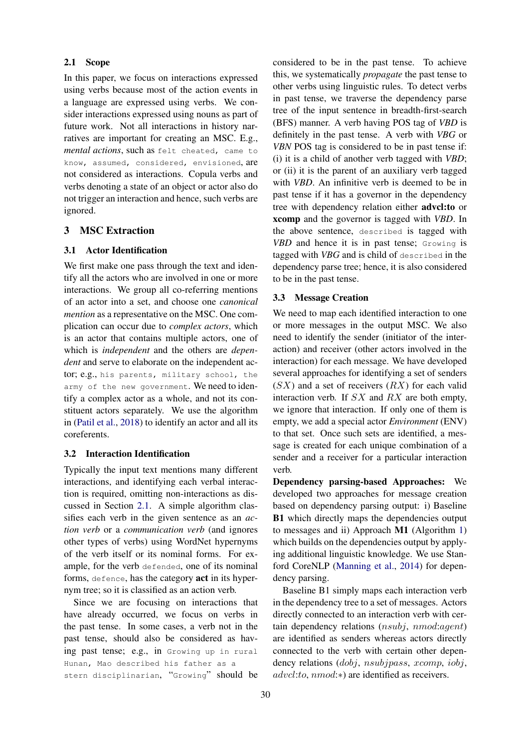## 2.1 Scope

In this paper, we focus on interactions expressed using verbs because most of the action events in a language are expressed using verbs. We consider interactions expressed using nouns as part of future work. Not all interactions in history narratives are important for creating an MSC. E.g., *mental actions*, such as felt cheated, came to know, assumed, considered, envisioned, are not considered as interactions. Copula verbs and verbs denoting a state of an object or actor also do not trigger an interaction and hence, such verbs are ignored.

## 3 MSC Extraction

## <span id="page-2-0"></span>3.1 Actor Identification

We first make one pass through the text and identify all the actors who are involved in one or more interactions. We group all co-referring mentions of an actor into a set, and choose one *canonical mention* as a representative on the MSC. One complication can occur due to *complex actors*, which is an actor that contains multiple actors, one of which is *independent* and the others are *dependent* and serve to elaborate on the independent actor; e.g., his parents, military school, the army of the new government. We need to identify a complex actor as a whole, and not its constituent actors separately. We use the algorithm in [\(Patil et al.,](#page-8-10) [2018\)](#page-8-10) to identify an actor and all its coreferents.

#### 3.2 Interaction Identification

Typically the input text mentions many different interactions, and identifying each verbal interaction is required, omitting non-interactions as discussed in Section [2.1.](#page-1-2) A simple algorithm classifies each verb in the given sentence as an *action verb* or a *communication verb* (and ignores other types of verbs) using WordNet hypernyms of the verb itself or its nominal forms. For example, for the verb defended, one of its nominal forms, defence, has the category act in its hypernym tree; so it is classified as an action verb.

Since we are focusing on interactions that have already occurred, we focus on verbs in the past tense. In some cases, a verb not in the past tense, should also be considered as having past tense; e.g., in Growing up in rural Hunan, Mao described his father as a stern disciplinarian, "Growing" should be

considered to be in the past tense. To achieve this, we systematically *propagate* the past tense to other verbs using linguistic rules. To detect verbs in past tense, we traverse the dependency parse tree of the input sentence in breadth-first-search (BFS) manner. A verb having POS tag of *VBD* is definitely in the past tense. A verb with *VBG* or *VBN* POS tag is considered to be in past tense if: (i) it is a child of another verb tagged with *VBD*; or (ii) it is the parent of an auxiliary verb tagged with *VBD*. An infinitive verb is deemed to be in past tense if it has a governor in the dependency tree with dependency relation either advcl:to or xcomp and the governor is tagged with *VBD*. In the above sentence, described is tagged with *VBD* and hence it is in past tense; Growing is tagged with *VBG* and is child of described in the dependency parse tree; hence, it is also considered to be in the past tense.

#### 3.3 Message Creation

We need to map each identified interaction to one or more messages in the output MSC. We also need to identify the sender (initiator of the interaction) and receiver (other actors involved in the interaction) for each message. We have developed several approaches for identifying a set of senders  $(SX)$  and a set of receivers  $(RX)$  for each valid interaction verb. If SX and RX are both empty, we ignore that interaction. If only one of them is empty, we add a special actor *Environment* (ENV) to that set. Once such sets are identified, a message is created for each unique combination of a sender and a receiver for a particular interaction verb.

Dependency parsing-based Approaches: We developed two approaches for message creation based on dependency parsing output: i) Baseline B1 which directly maps the dependencies output to messages and ii) Approach M1 (Algorithm [1\)](#page-4-0) which builds on the dependencies output by applying additional linguistic knowledge. We use Stanford CoreNLP [\(Manning et al.,](#page-8-11) [2014\)](#page-8-11) for dependency parsing.

Baseline B1 simply maps each interaction verb in the dependency tree to a set of messages. Actors directly connected to an interaction verb with certain dependency relations (nsubj, nmod:agent) are identified as senders whereas actors directly connected to the verb with certain other dependency relations (dobj, nsubjpass, xcomp, iobj, advcl:to, nmod:∗) are identified as receivers.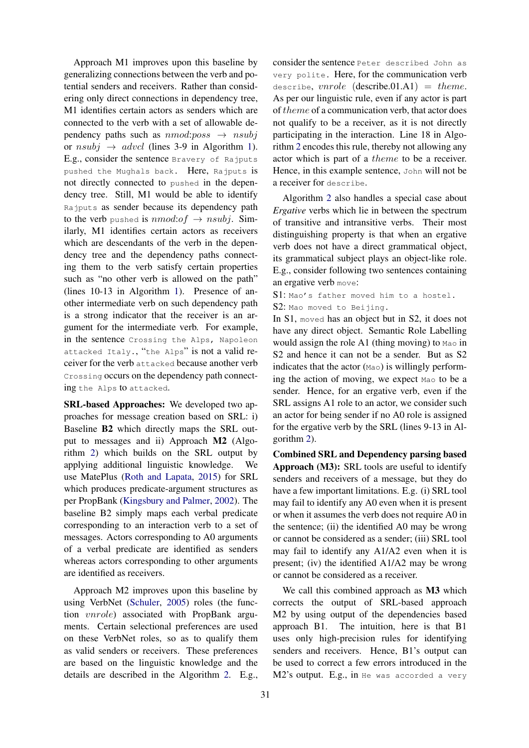Approach M1 improves upon this baseline by generalizing connections between the verb and potential senders and receivers. Rather than considering only direct connections in dependency tree, M1 identifies certain actors as senders which are connected to the verb with a set of allowable dependency paths such as  $nmod:poss \rightarrow nsubj$ or  $nsubj \rightarrow advcl$  (lines 3-9 in Algorithm [1\)](#page-4-0). E.g., consider the sentence Bravery of Rajputs pushed the Mughals back. Here, Rajputs is not directly connected to pushed in the dependency tree. Still, M1 would be able to identify Rajputs as sender because its dependency path to the verb pushed is  $nmod:of \rightarrow nsubj.$  Similarly, M1 identifies certain actors as receivers which are descendants of the verb in the dependency tree and the dependency paths connecting them to the verb satisfy certain properties such as "no other verb is allowed on the path" (lines 10-13 in Algorithm [1\)](#page-4-0). Presence of another intermediate verb on such dependency path is a strong indicator that the receiver is an argument for the intermediate verb. For example, in the sentence Crossing the Alps, Napoleon attacked Italy., "the Alps" is not a valid receiver for the verb attacked because another verb Crossing occurs on the dependency path connecting the Alps to attacked.

SRL-based Approaches: We developed two approaches for message creation based on SRL: i) Baseline B2 which directly maps the SRL output to messages and ii) Approach M2 (Algorithm [2\)](#page-4-1) which builds on the SRL output by applying additional linguistic knowledge. We use MatePlus [\(Roth and Lapata,](#page-8-12) [2015\)](#page-8-12) for SRL which produces predicate-argument structures as per PropBank [\(Kingsbury and Palmer,](#page-8-13) [2002\)](#page-8-13). The baseline B2 simply maps each verbal predicate corresponding to an interaction verb to a set of messages. Actors corresponding to A0 arguments of a verbal predicate are identified as senders whereas actors corresponding to other arguments are identified as receivers.

Approach M2 improves upon this baseline by using VerbNet [\(Schuler,](#page-8-14) [2005\)](#page-8-14) roles (the function vnrole) associated with PropBank arguments. Certain selectional preferences are used on these VerbNet roles, so as to qualify them as valid senders or receivers. These preferences are based on the linguistic knowledge and the details are described in the Algorithm [2.](#page-4-1) E.g.,

consider the sentence Peter described John as very polite. Here, for the communication verb describe,  $vncle$  (describe.01.A1) = theme. As per our linguistic rule, even if any actor is part of theme of a communication verb, that actor does not qualify to be a receiver, as it is not directly participating in the interaction. Line 18 in Algorithm [2](#page-4-1) encodes this rule, thereby not allowing any actor which is part of a theme to be a receiver. Hence, in this example sentence, John will not be a receiver for describe.

Algorithm [2](#page-4-1) also handles a special case about *Ergative* verbs which lie in between the spectrum of transitive and intransitive verbs. Their most distinguishing property is that when an ergative verb does not have a direct grammatical object, its grammatical subject plays an object-like role. E.g., consider following two sentences containing an ergative verb move:

S1: Mao's father moved him to a hostel. S2: Mao moved to Beijing.

In S1, moved has an object but in S2, it does not have any direct object. Semantic Role Labelling would assign the role A1 (thing moving) to Mao in S2 and hence it can not be a sender. But as S2 indicates that the actor  $(Mao)$  is willingly performing the action of moving, we expect Mao to be a sender. Hence, for an ergative verb, even if the SRL assigns A1 role to an actor, we consider such an actor for being sender if no A0 role is assigned for the ergative verb by the SRL (lines 9-13 in Algorithm [2\)](#page-4-1).

Combined SRL and Dependency parsing based Approach (M3): SRL tools are useful to identify senders and receivers of a message, but they do have a few important limitations. E.g. (i) SRL tool may fail to identify any A0 even when it is present or when it assumes the verb does not require A0 in the sentence; (ii) the identified A0 may be wrong or cannot be considered as a sender; (iii) SRL tool may fail to identify any A1/A2 even when it is present; (iv) the identified A1/A2 may be wrong or cannot be considered as a receiver.

We call this combined approach as  $M3$  which corrects the output of SRL-based approach M2 by using output of the dependencies based approach B1. The intuition, here is that B1 uses only high-precision rules for identifying senders and receivers. Hence, B1's output can be used to correct a few errors introduced in the M2's output. E.g., in He was accorded a very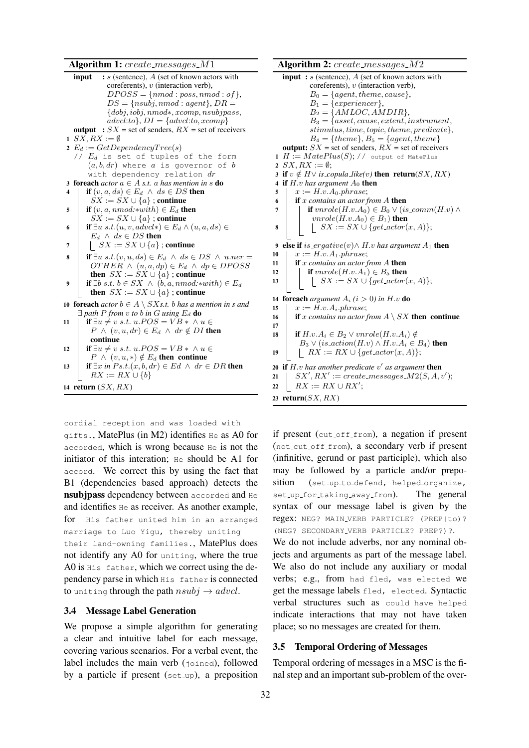## Algorithm 1: create\_messages\_M1

<span id="page-4-0"></span>**input** :  $s$  (sentence),  $\overline{A}$  (set of known actors with coreferents),  $v$  (interaction verb).  $DPOSS = \{nmod: poss, nmod: of\},\$  $DS = \{nsubj, nmod : agent\}$ ,  $DR =$ {dobj, iobj, nmod∗, xcomp, nsubjpass,  $advcl:to\}$ ,  $DI = \{advcl:to, xcomp\}$ output :  $SX$  = set of senders,  $RX$  = set of receivers 1  $SX, RX := \emptyset$ 2  $E_d := GetDependercyTree(s)$ //  $E_d$  is set of tuples of the form  $(a, b, dr)$  where a is governor of b with dependency relation dr 3 foreach  $actor \ a \in A \ s.t. \ a \ has \ mention \ in \ s \ do$ if  $(v, a, ds) \in E_d \land ds \in DS$  then  $\overrightarrow{SX} := \overrightarrow{SX} \cup \{a\}$ ; continue 5 **if**  $(v, a, nmod: * with) \in E_d$  then  $SX := SX \cup \{a\}$ ; continue 6 **if**  $\exists u \ s.t. (u, v, advcl*) \in E_d \land (u, a, ds) \in$  $E_d \wedge ds \in DS$  then 7 | |  $SX := SX \cup \{a\}$ ; continue 8 if  $\exists u \ s.t. (v, u, ds) \in E_d \land ds \in DS \land u.ner =$  $OTHER \wedge (u, a, dp) \in E_d \wedge dp \in DPOSS$ then  $SX := SX \cup \{a\}$ ; continue 9 **if**  $∃b$  *s.t.*  $b ∈ SX \land (b, a, nmod.*with) ∈ E_d$ then  $SX := SX \cup \{a\}$ ; continue 10 **foreach**  $actor b \in A \setminus SXs.t.$  b has a mention in s and  $\exists$  path P from v to b in G using  $E_d$  **do** 11 | if  $\exists u \neq v \; s.t. \; u.POS = VB * \land u \in$  $P \wedge (v, u, dr) \in E_d \wedge dr \notin DI$  then continue 12 | if  $\exists u \neq v \; s.t. \; u.POS = VB * \land u \in$  $P \wedge (v, u, *) \notin E_d$  then continue 13 **if**  $\exists x \text{ in } Ps.t.(x, b, dr) \in Ed \land dr \in DR$  then  $RX := RX \cup \{b\}$ 14 return  $(SX, RX)$ 

cordial reception and was loaded with

gifts., MatePlus (in M2) identifies He as A0 for accorded, which is wrong because He is not the initiator of this interation; He should be A1 for accord. We correct this by using the fact that B1 (dependencies based approach) detects the nsubjpass dependency between accorded and He and identifies He as receiver. As another example, for His father united him in an arranged marriage to Luo Yigu, thereby uniting their land-owning families., MatePlus does not identify any A0 for uniting, where the true A0 is His father, which we correct using the dependency parse in which His father is connected to uniting through the path  $nsubj \rightarrow advcl$ .

#### 3.4 Message Label Generation

We propose a simple algorithm for generating a clear and intuitive label for each message, covering various scenarios. For a verbal event, the label includes the main verb (joined), followed by a particle if present  $(set_{up})$ , a preposition

<span id="page-4-1"></span>Algorithm 2: create\_messages\_M2 input :  $s$  (sentence),  $\overline{A}$  (set of known actors with coreferents),  $v$  (interaction verb).  $B_0 = \{agent, theme, cause\},\$  $B_1 = \{ experience\},\$  $B_2 = \{AMLOC, AMDIR\},\$  $B_3 = \{asset, cause, extent, instrument,$ stimulus, time, topic, theme, predicate},  $B_4 = \{theme\}, B_5 = \{agent, theme\}$ output:  $SX$  = set of senders,  $RX$  = set of receivers 1  $H := MatePlus(S); //$  output of MatePlus 2  $SX$ ,  $RX := \emptyset$ ; 3 if  $v \notin H \vee$  *is\_copula\_like(v)* then return( $SX, RX$ ) 4 if  $H.v$  has argument  $A_0$  then 5  $x := H.v.A_0. phrase;$ 6 if x *contains an actor from A* then<br>  $\mathbf{r} = \begin{cases} \mathbf{r} & \text{if } y \in H, y \in B_0 \vee (i \in B_1) \end{cases}$ **if**  $vncole(H.v.A_0) \in B_0 \vee (is_{comm}(H.v) \wedge$  $vnrole(H.v.A_0) \in B_1$ ) then 8  $\vert$   $\vert$   $S X := SX \cup \{ get\_actor(x, A)\};$ 9 else if is\_ergative(v) $\wedge$  H.v has argument  $A_1$  then 10  $x := H.v.A_1. phrase;$ 11 **if** x contains an actor from A then 12 **if**  $vncle(H.v.A_1) \in B_5$  then 13 | |  $SX := SX \cup \{get\_actor(x, A)\};$ 14 foreach *argument*  $A_i$  ( $i > 0$ ) in H.v do 15  $x := H.v.A_i. phrase;$ <br>16 if x contains no actor f if x contains no actor from  $A \setminus SX$  then continue 17 18 if  $H.v.A_i \in B_2 \vee vrrole(H.v.A_i) \notin$  $B_3 \vee (is\_action(H.v) \wedge H.v.A_i \in B_4)$  then 19 | RX := RX ∪ {get\_actor(x, A)}; 20 if  $H.v$  has another predicate  $v'$  as argument then 21 |  $SX', RX' := create\_messages_M2(S, A, v');$ 22  $R X := R X \cup R X'$ ; 23 return $(SX, RX)$ 

if present (cut off from), a negation if present (not cut off from), a secondary verb if present (infinitive, gerund or past participle), which also may be followed by a particle and/or preposition (set up to defend, helped organize, set\_up\_for\_taking\_away\_from). The general syntax of our message label is given by the regex: NEG? MAIN VERB PARTICLE? (PREP|to)? (NEG? SECONDARY VERB PARTICLE? PREP?)?. We do not include adverbs, nor any nominal objects and arguments as part of the message label. We also do not include any auxiliary or modal verbs; e.g., from had fled, was elected we get the message labels fled, elected. Syntactic verbal structures such as could have helped indicate interactions that may not have taken place; so no messages are created for them.

## 3.5 Temporal Ordering of Messages

Temporal ordering of messages in a MSC is the final step and an important sub-problem of the over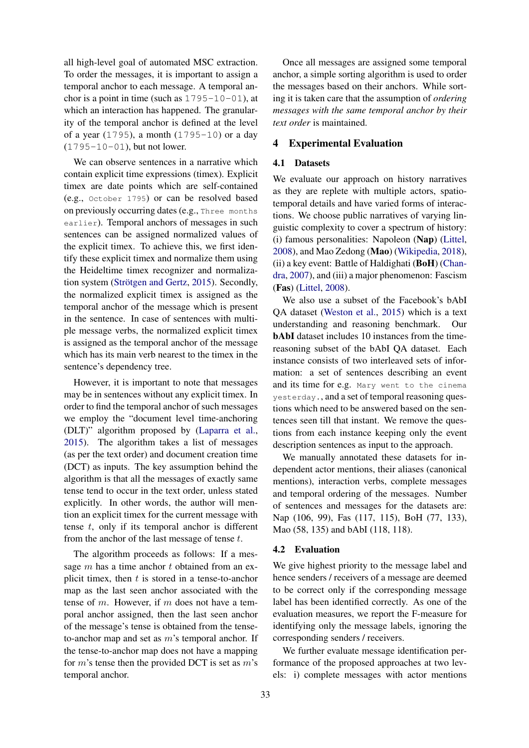all high-level goal of automated MSC extraction. To order the messages, it is important to assign a temporal anchor to each message. A temporal anchor is a point in time (such as  $1795-10-01$ ), at which an interaction has happened. The granularity of the temporal anchor is defined at the level of a year (1795), a month (1795-10) or a day (1795-10-01), but not lower.

We can observe sentences in a narrative which contain explicit time expressions (timex). Explicit timex are date points which are self-contained (e.g., October 1795) or can be resolved based on previously occurring dates (e.g., Three months earlier). Temporal anchors of messages in such sentences can be assigned normalized values of the explicit timex. To achieve this, we first identify these explicit timex and normalize them using the Heideltime timex recognizer and normaliza-tion system (Strötgen and Gertz, [2015\)](#page-8-15). Secondly, the normalized explicit timex is assigned as the temporal anchor of the message which is present in the sentence. In case of sentences with multiple message verbs, the normalized explicit timex is assigned as the temporal anchor of the message which has its main verb nearest to the timex in the sentence's dependency tree.

However, it is important to note that messages may be in sentences without any explicit timex. In order to find the temporal anchor of such messages we employ the "document level time-anchoring (DLT)" algorithm proposed by [\(Laparra et al.,](#page-8-9) [2015\)](#page-8-9). The algorithm takes a list of messages (as per the text order) and document creation time (DCT) as inputs. The key assumption behind the algorithm is that all the messages of exactly same tense tend to occur in the text order, unless stated explicitly. In other words, the author will mention an explicit timex for the current message with tense  $t$ , only if its temporal anchor is different from the anchor of the last message of tense  $t$ .

The algorithm proceeds as follows: If a message  $m$  has a time anchor  $t$  obtained from an explicit timex, then  $t$  is stored in a tense-to-anchor map as the last seen anchor associated with the tense of m. However, if m does not have a temporal anchor assigned, then the last seen anchor of the message's tense is obtained from the tenseto-anchor map and set as  $m$ 's temporal anchor. If the tense-to-anchor map does not have a mapping for  $m$ 's tense then the provided DCT is set as  $m$ 's temporal anchor.

Once all messages are assigned some temporal anchor, a simple sorting algorithm is used to order the messages based on their anchors. While sorting it is taken care that the assumption of *ordering messages with the same temporal anchor by their text order* is maintained.

## 4 Experimental Evaluation

## 4.1 Datasets

We evaluate our approach on history narratives as they are replete with multiple actors, spatiotemporal details and have varied forms of interactions. We choose public narratives of varying linguistic complexity to cover a spectrum of history: (i) famous personalities: Napoleon (Nap) [\(Littel,](#page-8-16) [2008\)](#page-8-16), and Mao Zedong (Mao) [\(Wikipedia,](#page-8-17) [2018\)](#page-8-17), (ii) a key event: Battle of Haldighati (BoH) [\(Chan](#page-8-18)[dra,](#page-8-18) [2007\)](#page-8-18), and (iii) a major phenomenon: Fascism (Fas) [\(Littel,](#page-8-16) [2008\)](#page-8-16).

We also use a subset of the Facebook's bAbI QA dataset [\(Weston et al.,](#page-8-19) [2015\)](#page-8-19) which is a text understanding and reasoning benchmark. Our bAbI dataset includes 10 instances from the timereasoning subset of the bAbI QA dataset. Each instance consists of two interleaved sets of information: a set of sentences describing an event and its time for e.g. Mary went to the cinema yesterday., and a set of temporal reasoning questions which need to be answered based on the sentences seen till that instant. We remove the questions from each instance keeping only the event description sentences as input to the approach.

We manually annotated these datasets for independent actor mentions, their aliases (canonical mentions), interaction verbs, complete messages and temporal ordering of the messages. Number of sentences and messages for the datasets are: Nap (106, 99), Fas (117, 115), BoH (77, 133), Mao (58, 135) and bAbI (118, 118).

## 4.2 Evaluation

We give highest priority to the message label and hence senders / receivers of a message are deemed to be correct only if the corresponding message label has been identified correctly. As one of the evaluation measures, we report the F-measure for identifying only the message labels, ignoring the corresponding senders / receivers.

We further evaluate message identification performance of the proposed approaches at two levels: i) complete messages with actor mentions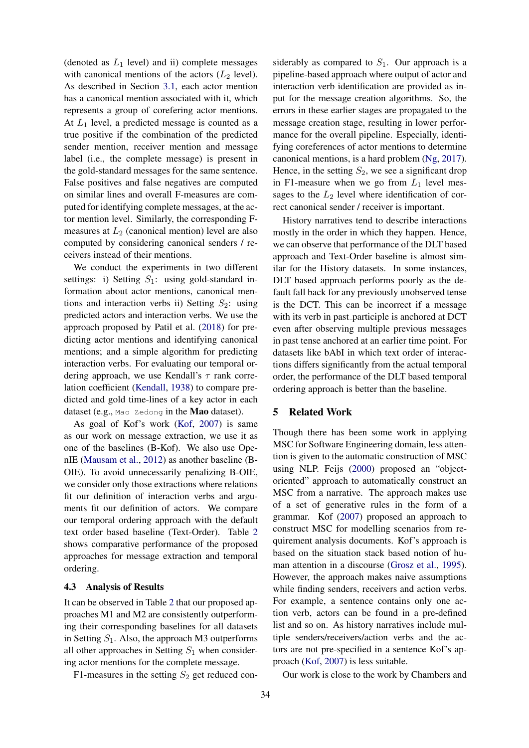(denoted as  $L_1$  level) and ii) complete messages with canonical mentions of the actors  $(L_2 \text{ level})$ . As described in Section [3.1,](#page-2-0) each actor mention has a canonical mention associated with it, which represents a group of corefering actor mentions. At  $L_1$  level, a predicted message is counted as a true positive if the combination of the predicted sender mention, receiver mention and message label (i.e., the complete message) is present in the gold-standard messages for the same sentence. False positives and false negatives are computed on similar lines and overall F-measures are computed for identifying complete messages, at the actor mention level. Similarly, the corresponding Fmeasures at  $L_2$  (canonical mention) level are also computed by considering canonical senders / receivers instead of their mentions.

We conduct the experiments in two different settings: i) Setting  $S_1$ : using gold-standard information about actor mentions, canonical mentions and interaction verbs ii) Setting  $S_2$ : using predicted actors and interaction verbs. We use the approach proposed by Patil et al. [\(2018\)](#page-8-10) for predicting actor mentions and identifying canonical mentions; and a simple algorithm for predicting interaction verbs. For evaluating our temporal ordering approach, we use Kendall's  $\tau$  rank correlation coefficient [\(Kendall,](#page-8-20) [1938\)](#page-8-20) to compare predicted and gold time-lines of a key actor in each dataset (e.g., Mao Zedong in the Mao dataset).

As goal of Kof's work [\(Kof,](#page-8-21) [2007\)](#page-8-21) is same as our work on message extraction, we use it as one of the baselines (B-Kof). We also use OpenIE [\(Mausam et al.,](#page-8-22) [2012\)](#page-8-22) as another baseline (B-OIE). To avoid unnecessarily penalizing B-OIE, we consider only those extractions where relations fit our definition of interaction verbs and arguments fit our definition of actors. We compare our temporal ordering approach with the default text order based baseline (Text-Order). Table [2](#page-7-0) shows comparative performance of the proposed approaches for message extraction and temporal ordering.

#### 4.3 Analysis of Results

It can be observed in Table [2](#page-7-0) that our proposed approaches M1 and M2 are consistently outperforming their corresponding baselines for all datasets in Setting  $S_1$ . Also, the approach M3 outperforms all other approaches in Setting  $S_1$  when considering actor mentions for the complete message.

F1-measures in the setting  $S_2$  get reduced con-

siderably as compared to  $S_1$ . Our approach is a pipeline-based approach where output of actor and interaction verb identification are provided as input for the message creation algorithms. So, the errors in these earlier stages are propagated to the message creation stage, resulting in lower performance for the overall pipeline. Especially, identifying coreferences of actor mentions to determine canonical mentions, is a hard problem [\(Ng,](#page-8-23) [2017\)](#page-8-23). Hence, in the setting  $S_2$ , we see a significant drop in F1-measure when we go from  $L_1$  level messages to the  $L_2$  level where identification of correct canonical sender / receiver is important.

History narratives tend to describe interactions mostly in the order in which they happen. Hence, we can observe that performance of the DLT based approach and Text-Order baseline is almost similar for the History datasets. In some instances, DLT based approach performs poorly as the default fall back for any previously unobserved tense is the DCT. This can be incorrect if a message with its verb in past participle is anchored at DCT even after observing multiple previous messages in past tense anchored at an earlier time point. For datasets like bAbI in which text order of interactions differs significantly from the actual temporal order, the performance of the DLT based temporal ordering approach is better than the baseline.

## 5 Related Work

Though there has been some work in applying MSC for Software Engineering domain, less attention is given to the automatic construction of MSC using NLP. Feijs [\(2000\)](#page-8-1) proposed an "objectoriented" approach to automatically construct an MSC from a narrative. The approach makes use of a set of generative rules in the form of a grammar. Kof [\(2007\)](#page-8-21) proposed an approach to construct MSC for modelling scenarios from requirement analysis documents. Kof's approach is based on the situation stack based notion of human attention in a discourse [\(Grosz et al.,](#page-8-24) [1995\)](#page-8-24). However, the approach makes naive assumptions while finding senders, receivers and action verbs. For example, a sentence contains only one action verb, actors can be found in a pre-defined list and so on. As history narratives include multiple senders/receivers/action verbs and the actors are not pre-specified in a sentence Kof's approach [\(Kof,](#page-8-21) [2007\)](#page-8-21) is less suitable.

Our work is close to the work by Chambers and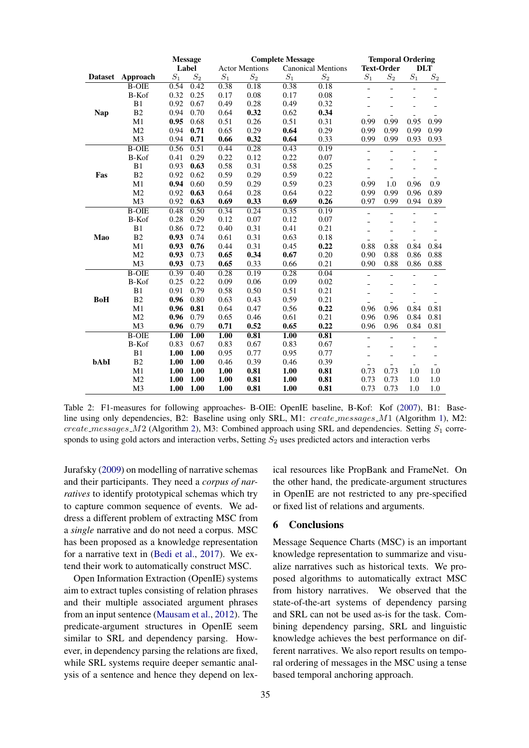<span id="page-7-0"></span>

|                |                | <b>Message</b> |       | <b>Complete Message</b> |       |                           |       | <b>Temporal Ordering</b> |                          |                          |                          |
|----------------|----------------|----------------|-------|-------------------------|-------|---------------------------|-------|--------------------------|--------------------------|--------------------------|--------------------------|
|                |                | Label          |       | <b>Actor Mentions</b>   |       | <b>Canonical Mentions</b> |       | <b>Text-Order</b>        |                          | <b>DLT</b>               |                          |
| <b>Dataset</b> | Approach       | $S_1$          | $S_2$ | $\mathcal{S}_1$         | $S_2$ | $S_1$                     | $S_2$ | $S_1$                    | $S_2$                    | $\mathcal{S}_1$          | $S_2$                    |
|                | <b>B-OIE</b>   | 0.54           | 0.42  | 0.38                    | 0.18  | 0.38                      | 0.18  | $\overline{a}$           | $\frac{1}{2}$            | $\equiv$                 | $\overline{\phantom{a}}$ |
|                | B-Kof          | 0.32           | 0.25  | 0.17                    | 0.08  | 0.17                      | 0.08  | ÷                        | $\overline{\phantom{a}}$ | ٠                        |                          |
|                | B1             | 0.92           | 0.67  | 0.49                    | 0.28  | 0.49                      | 0.32  |                          |                          |                          |                          |
| <b>Nap</b>     | B <sub>2</sub> | 0.94           | 0.70  | 0.64                    | 0.32  | 0.62                      | 0.34  |                          |                          |                          |                          |
|                | M1             | 0.95           | 0.68  | 0.51                    | 0.26  | 0.51                      | 0.31  | 0.99                     | 0.99                     | 0.95                     | 0.99                     |
|                | M <sub>2</sub> | 0.94           | 0.71  | 0.65                    | 0.29  | 0.64                      | 0.29  | 0.99                     | 0.99                     | 0.99                     | 0.99                     |
|                | M <sub>3</sub> | 0.94           | 0.71  | 0.66                    | 0.32  | 0.64                      | 0.33  | 0.99                     | 0.99                     | 0.93                     | 0.93                     |
|                | $B-OIE$        | 0.56           | 0.51  | 0.44                    | 0.28  | 0.43                      | 0.19  | $\overline{a}$           | $\equiv$                 | $\equiv$                 | $\equiv$                 |
|                | B-Kof          | 0.41           | 0.29  | 0.22                    | 0.12  | 0.22                      | 0.07  | ۳                        |                          |                          |                          |
|                | B1             | 0.93           | 0.63  | 0.58                    | 0.31  | 0.58                      | 0.25  |                          |                          |                          |                          |
| Fas            | B2             | 0.92           | 0.62  | 0.59                    | 0.29  | 0.59                      | 0.22  |                          |                          |                          |                          |
|                | M1             | 0.94           | 0.60  | 0.59                    | 0.29  | 0.59                      | 0.23  | 0.99                     | 1.0                      | 0.96                     | 0.9                      |
|                | M <sub>2</sub> | 0.92           | 0.63  | 0.64                    | 0.28  | 0.64                      | 0.22  | 0.99                     | 0.99                     | 0.96                     | 0.89                     |
|                | M <sub>3</sub> | 0.92           | 0.63  | 0.69                    | 0.33  | 0.69                      | 0.26  | 0.97                     | 0.99                     | 0.94                     | 0.89                     |
|                | <b>B-OIE</b>   | 0.48           | 0.50  | 0.34                    | 0.24  | 0.35                      | 0.19  | $\overline{a}$           | $\equiv$                 | $\equiv$                 | $\equiv$                 |
|                | B-Kof          | 0.28           | 0.29  | 0.12                    | 0.07  | 0.12                      | 0.07  | $\overline{a}$           |                          |                          |                          |
|                | B1             | 0.86           | 0.72  | 0.40                    | 0.31  | 0.41                      | 0.21  |                          | ÷.                       |                          |                          |
| Mao            | B2             | 0.93           | 0.74  | 0.61                    | 0.31  | 0.63                      | 0.18  |                          |                          |                          |                          |
|                | M1             | 0.93           | 0.76  | 0.44                    | 0.31  | 0.45                      | 0.22  | 0.88                     | 0.88                     | 0.84                     | 0.84                     |
|                | M <sub>2</sub> | 0.93           | 0.73  | 0.65                    | 0.34  | 0.67                      | 0.20  | 0.90                     | 0.88                     | 0.86                     | 0.88                     |
|                | M <sub>3</sub> | 0.93           | 0.73  | 0.65                    | 0.33  | 0.66                      | 0.21  | 0.90                     | 0.88                     | 0.86                     | 0.88                     |
|                | <b>B-OIE</b>   | 0.39           | 0.40  | 0.28                    | 0.19  | 0.28                      | 0.04  | $\overline{a}$           | $\bar{ }$                | $\overline{a}$           |                          |
|                | B-Kof          | 0.25           | 0.22  | 0.09                    | 0.06  | 0.09                      | 0.02  |                          |                          |                          |                          |
|                | B1             | 0.91           | 0.79  | 0.58                    | 0.50  | 0.51                      | 0.21  |                          |                          | L.                       |                          |
| <b>BoH</b>     | B2             | 0.96           | 0.80  | 0.63                    | 0.43  | 0.59                      | 0.21  | $\overline{a}$           |                          |                          |                          |
|                | M1             | 0.96           | 0.81  | 0.64                    | 0.47  | 0.56                      | 0.22  | 0.96                     | 0.96                     | 0.84                     | 0.81                     |
|                | M <sub>2</sub> | 0.96           | 0.79  | 0.65                    | 0.46  | 0.61                      | 0.21  | 0.96                     | 0.96                     | 0.84                     | 0.81                     |
|                | M <sub>3</sub> | 0.96           | 0.79  | 0.71                    | 0.52  | 0.65                      | 0.22  | 0.96                     | 0.96                     | 0.84                     | 0.81                     |
|                | <b>B-OIE</b>   | 1.00           | 1.00  | $\overline{1.00}$       | 0.81  | 1.00                      | 0.81  | ÷,                       | ä,                       | $\overline{a}$           |                          |
|                | B-Kof          | 0.83           | 0.67  | 0.83                    | 0.67  | 0.83                      | 0.67  |                          | $\equiv$                 | $\overline{a}$           | $\equiv$                 |
|                | B1             | 1.00           | 1.00  | 0.95                    | 0.77  | 0.95                      | 0.77  | ۳                        | $\overline{\phantom{a}}$ | $\overline{\phantom{a}}$ | $\overline{\phantom{a}}$ |
| <b>bAbI</b>    | B2             | 1.00           | 1.00  | 0.46                    | 0.39  | 0.46                      | 0.39  |                          |                          |                          |                          |
|                | M1             | 1.00           | 1.00  | 1.00                    | 0.81  | 1.00                      | 0.81  | 0.73                     | 0.73                     | 1.0                      | 1.0                      |
|                | M <sub>2</sub> | 1.00           | 1.00  | 1.00                    | 0.81  | 1.00                      | 0.81  | 0.73                     | 0.73                     | 1.0                      | 1.0                      |
|                | M <sub>3</sub> | 1.00           | 1.00  | 1.00                    | 0.81  | 1.00                      | 0.81  | 0.73                     | 0.73                     | 1.0                      | 1.0                      |

Table 2: F1-measures for following approaches- B-OIE: OpenIE baseline, B-Kof: Kof [\(2007\)](#page-8-21), B1: Base-line using only dependencies, B2: Baseline using only SRL, M1: create\_messages\_M1 (Algorithm [1\)](#page-4-0), M2: create messages  $M2$  (Algorithm [2\)](#page-4-1), M3: Combined approach using SRL and dependencies. Setting  $S_1$  corresponds to using gold actors and interaction verbs, Setting  $S_2$  uses predicted actors and interaction verbs

Jurafsky [\(2009\)](#page-8-4) on modelling of narrative schemas and their participants. They need a *corpus of narratives* to identify prototypical schemas which try to capture common sequence of events. We address a different problem of extracting MSC from a *single* narrative and do not need a corpus. MSC has been proposed as a knowledge representation for a narrative text in [\(Bedi et al.,](#page-8-25) [2017\)](#page-8-25). We extend their work to automatically construct MSC.

Open Information Extraction (OpenIE) systems aim to extract tuples consisting of relation phrases and their multiple associated argument phrases from an input sentence [\(Mausam et al.,](#page-8-22) [2012\)](#page-8-22). The predicate-argument structures in OpenIE seem similar to SRL and dependency parsing. However, in dependency parsing the relations are fixed, while SRL systems require deeper semantic analysis of a sentence and hence they depend on lexical resources like PropBank and FrameNet. On the other hand, the predicate-argument structures in OpenIE are not restricted to any pre-specified or fixed list of relations and arguments.

#### 6 Conclusions

Message Sequence Charts (MSC) is an important knowledge representation to summarize and visualize narratives such as historical texts. We proposed algorithms to automatically extract MSC from history narratives. We observed that the state-of-the-art systems of dependency parsing and SRL can not be used as-is for the task. Combining dependency parsing, SRL and linguistic knowledge achieves the best performance on different narratives. We also report results on temporal ordering of messages in the MSC using a tense based temporal anchoring approach.